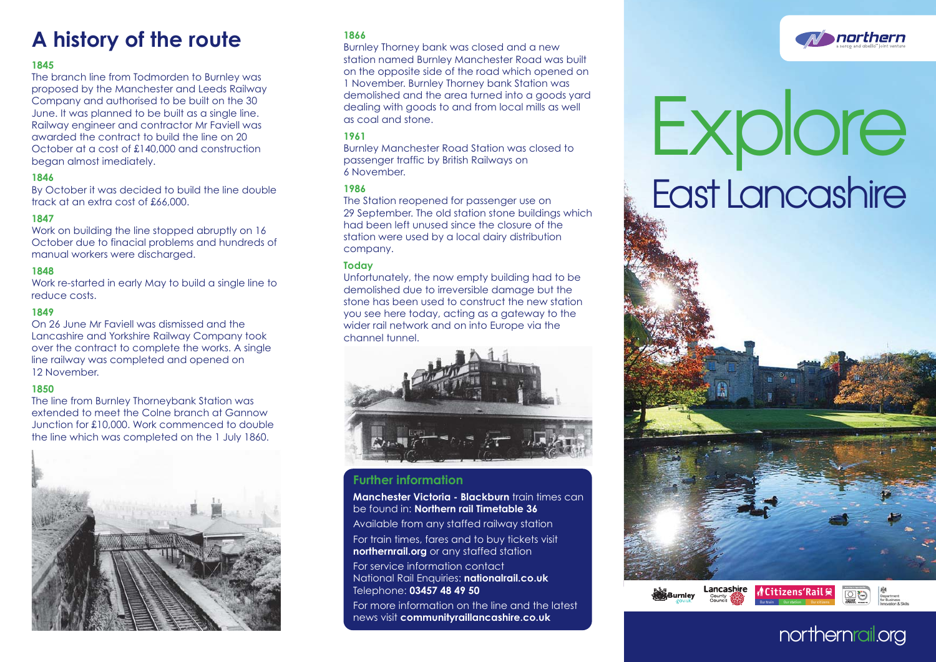# **A history of the route <sup>1866</sup>**

# **1845**

The branch line from Todmorden to Burnley was proposed by the Manchester and Leeds Railway Company and authorised to be built on the 30 June. It was planned to be built as a single line. Railway engineer and contractor Mr Faviell was awarded the contract to build the line on 20 October at a cost of £140,000 and construction began almost imediately.

# **1846**

By October it was decided to build the line double track at an extra cost of £66,000.

# **1847**

Work on building the line stopped abruptly on 16 October due to finacial problems and hundreds of manual workers were discharged.

# **1848**

Work re-started in early May to build a single line to reduce costs.

# **1849**

On 26 June Mr Faviell was dismissed and the Lancashire and Yorkshire Railway Company took over the contract to complete the works. A single line railway was completed and opened on 12 November.

# **1850**

The line from Burnley Thorneybank Station was extended to meet the Colne branch at Gannow Junction for £10,000. Work commenced to double the line which was completed on the 1 July 1860.



Burnley Thorney bank was closed and a new station named Burnley Manchester Road was built on the opposite side of the road which opened on 1 November. Burnley Thorney bank Station was demolished and the area turned into a goods yard dealing with goods to and from local mills as well as coal and stone.

## **1961**

Burnley Manchester Road Station was closed to passenger traffic by British Railways on 6 November.

## **1986**

The Station reopened for passenger use on 29 September. The old station stone buildings which had been left unused since the closure of the station were used by a local dairy distribution company.

## **Today**

Unfortunately, the now empty building had to be demolished due to irreversible damage but the stone has been used to construct the new station you see here today, acting as a gateway to the wider rail network and on into Europe via the channel tunnel.



# **Further information**

**Manchester Victoria - Blackburn** train times can be found in: **Northern rail Timetable 36**

Available from any staffed railway station For train times, fares and to buy tickets visit **northernrail.org** or any staffed station

For service information contact National Rail Enquiries: **nationalrail.co.uk** Telephone: **03457 48 49 50**

For more information on the line and the latest news visit **communityraillancashire.co.uk** 





# **northernrail.org**